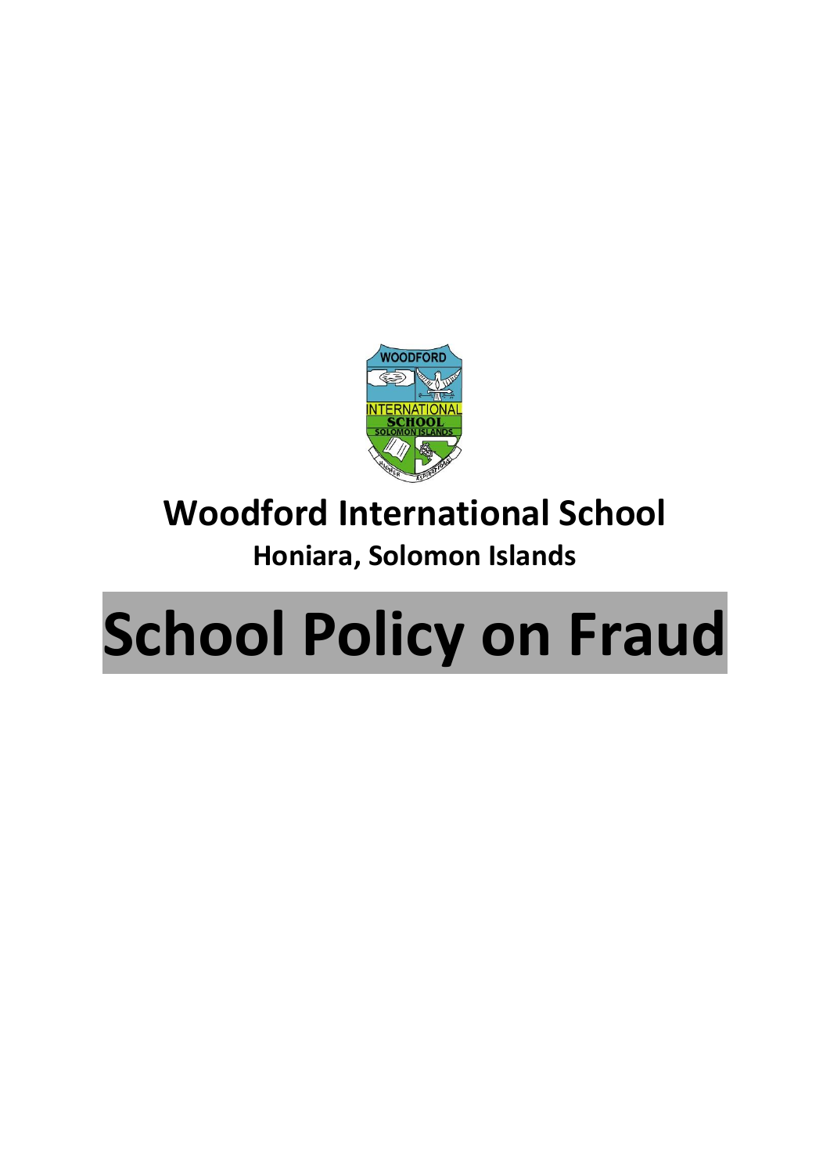

## **Woodford International School**

## **Honiara, Solomon Islands**

## **School Policy on Fraud**